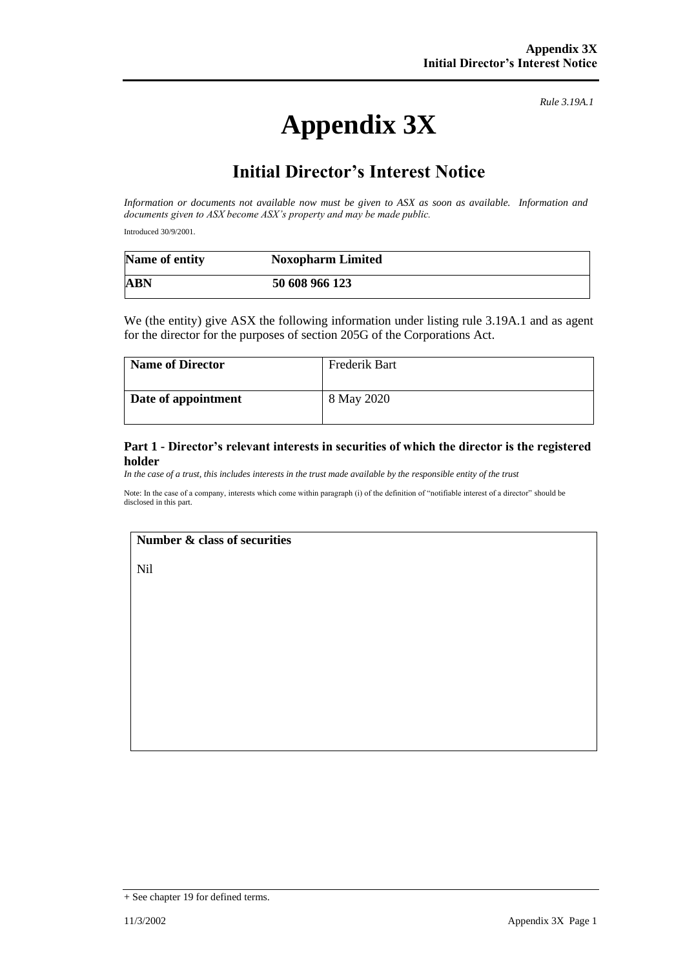# **Appendix 3X**

*Rule 3.19A.1*

## **Initial Director's Interest Notice**

*Information or documents not available now must be given to ASX as soon as available. Information and documents given to ASX become ASX's property and may be made public.*

Introduced 30/9/2001.

| Name of entity | <b>Noxopharm Limited</b> |  |
|----------------|--------------------------|--|
| <b>ABN</b>     | 50 608 966 123           |  |

We (the entity) give ASX the following information under listing rule 3.19A.1 and as agent for the director for the purposes of section 205G of the Corporations Act.

| <b>Name of Director</b> | Frederik Bart |
|-------------------------|---------------|
| Date of appointment     | 8 May 2020    |

#### **Part 1 - Director's relevant interests in securities of which the director is the registered holder**

*In the case of a trust, this includes interests in the trust made available by the responsible entity of the trust*

Note: In the case of a company, interests which come within paragraph (i) of the definition of "notifiable interest of a director" should be disclosed in this part.

#### **Number & class of securities**

Nil

<sup>+</sup> See chapter 19 for defined terms.